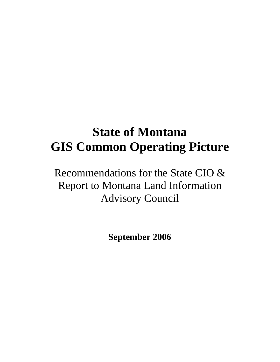# **State of Montana GIS Common Operating Picture**

Recommendations for the State CIO & Report to Montana Land Information Advisory Council

**September 2006**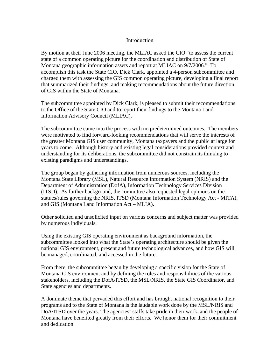#### Introduction

By motion at their June 2006 meeting, the MLIAC asked the CIO "to assess the current state of a common operating picture for the coordination and distribution of State of Montana geographic information assets and report at MLIAC on 9/7/2006." To accomplish this task the State CIO, Dick Clark, appointed a 4-person subcommittee and charged them with assessing the GIS common operating picture, developing a final report that summarized their findings, and making recommendations about the future direction of GIS within the State of Montana.

The subcommittee appointed by Dick Clark, is pleased to submit their recommendations to the Office of the State CIO and to report their findings to the Montana Land Information Advisory Council (MLIAC).

The subcommittee came into the process with no predetermined outcomes. The members were motivated to find forward-looking recommendations that will serve the interests of the greater Montana GIS user community, Montana taxpayers and the public at large for years to come. Although history and existing legal considerations provided context and understanding for its deliberations, the subcommittee did not constrain its thinking to existing paradigms and understandings.

The group began by gathering information from numerous sources, including the Montana State Library (MSL), Natural Resource Information System (NRIS) and the Department of Administration (DofA), Information Technology Services Division (ITSD). As further background, the committee also requested legal opinions on the statues/rules governing the NRIS, ITSD (Montana Information Technology Act - MITA), and GIS (Montana Land Information Act – MLIA).

Other solicited and unsolicited input on various concerns and subject matter was provided by numerous individuals.

Using the existing GIS operating environment as background information, the subcommittee looked into what the State's operating architecture should be given the national GIS environment, present and future technological advances, and how GIS will be managed, coordinated, and accessed in the future.

From there, the subcommittee began by developing a specific vision for the State of Montana GIS environment and by defining the roles and responsibilities of the various stakeholders, including the DofA/ITSD, the MSL/NRIS, the State GIS Coordinator, and State agencies and departments.

A dominate theme that pervaded this effort and has brought national recognition to their programs and to the State of Montana is the laudable work done by the MSL/NRIS and DoA/ITSD over the years. The agencies' staffs take pride in their work, and the people of Montana have benefited greatly from their efforts. We honor them for their commitment and dedication.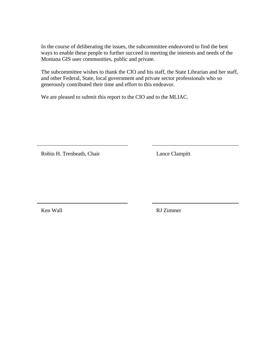In the course of deliberating the issues, the subcommittee endeavored to find the best ways to enable these people to further succeed in meeting the interests and needs of the Montana GIS user communities, public and private.

The subcommittee wishes to thank the CIO and his staff, the State Librarian and her staff, and other Federal, State, local government and private sector professionals who so generously contributed their time and effort to this endeavor.

We are pleased to submit this report to the CIO and to the MLIAC.

Robin H. Trenbeath, Chair Lance Clampitt

Ken Wall **RJ** Zimmer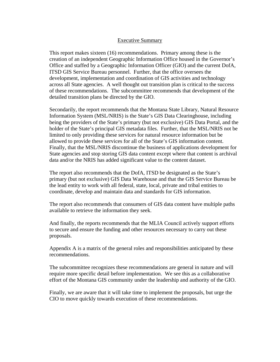#### Executive Summary

This report makes sixteen (16) recommendations. Primary among these is the creation of an independent Geographic Information Office housed in the Governor's Office and staffed by a Geographic Information Officer (GIO) and the current DofA, ITSD GIS Service Bureau personnel. Further, that the office oversees the development, implementation and coordination of GIS activities and technology across all State agencies. A well thought out transition plan is critical to the success of these recommendations. The subcommittee recommends that development of the detailed transition plans be directed by the GIO.

Secondarily, the report recommends that the Montana State Library, Natural Resource Information System (MSL/NRIS) is the State's GIS Data Clearinghouse, including being the providers of the State's primary (but not exclusive) GIS Data Portal, and the holder of the State's principal GIS metadata files. Further, that the MSL/NRIS not be limited to only providing these services for natural resource information but be allowed to provide these services for all of the State's GIS information content. Finally, that the MSL/NRIS discontinue the business of applications development for State agencies and stop storing GIS data content except where that content is archival data and/or the NRIS has added significant value to the content dataset.

The report also recommends that the DofA, ITSD be designated as the State's primary (but not exclusive) GIS Data Warehouse and that the GIS Service Bureau be the lead entity to work with all federal, state, local, private and tribal entities to coordinate, develop and maintain data and standards for GIS information.

The report also recommends that consumers of GIS data content have multiple paths available to retrieve the information they seek.

And finally, the reports recommends that the MLIA Council actively support efforts to secure and ensure the funding and other resources necessary to carry out these proposals.

Appendix A is a matrix of the general roles and responsibilities anticipated by these recommendations.

The subcommittee recognizes these recommendations are general in nature and will require more specific detail before implementation. We see this as a collaborative effort of the Montana GIS community under the leadership and authority of the GIO.

Finally, we are aware that it will take time to implement the proposals, but urge the CIO to move quickly towards execution of these recommendations.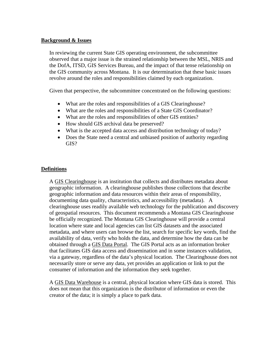#### **Background & Issues**

In reviewing the current State GIS operating environment, the subcommittee observed that a major issue is the strained relationship between the MSL, NRIS and the DofA, ITSD, GIS Services Bureau, and the impact of that tense relationship on the GIS community across Montana. It is our determination that these basic issues revolve around the roles and responsibilities claimed by each organization.

Given that perspective, the subcommittee concentrated on the following questions:

- What are the roles and responsibilities of a GIS Clearinghouse?
- What are the roles and responsibilities of a State GIS Coordinator?
- What are the roles and responsibilities of other GIS entities?
- How should GIS archival data be preserved?
- What is the accepted data access and distribution technology of today?
- Does the State need a central and unbiased position of authority regarding GIS?

#### **Definitions**

A GIS Clearinghouse is an institution that collects and distributes metadata about geographic information. A clearinghouse publishes those collections that describe geographic information and data resources within their areas of responsibility, documenting data quality, characteristics, and accessibility (metadata). A clearinghouse uses readily available web technology for the publication and discovery of geospatial resources. This document recommends a Montana GIS Clearinghouse be officially recognized. The Montana GIS Clearinghouse will provide a central location where state and local agencies can list GIS datasets and the associated metadata, and where users can browse the list, search for specific key words, find the availability of data, verify who holds the data, and determine how the data can be obtained through a GIS Data Portal. The GIS Portal acts as an information broker that facilitates GIS data access and dissemination and in some instances validation, via a gateway, regardless of the data's physical location. The Clearinghouse does not necessarily store or serve any data, yet provides an application or link to put the consumer of information and the information they seek together.

A GIS Data Warehouse is a central, physical location where GIS data is stored. This does not mean that this organization is the distributor of information or even the creator of the data; it is simply a place to park data.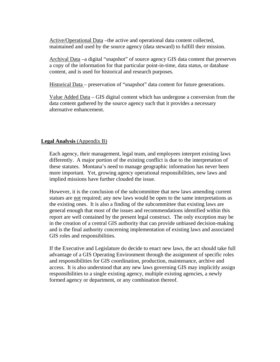Active/Operational Data –the active and operational data content collected, maintained and used by the source agency (data steward) to fulfill their mission.

Archival Data –a digital "snapshot" of source agency GIS data content that preserves a copy of the information for that particular point-in-time, data status, or database content, and is used for historical and research purposes.

Historical Data – preservation of "snapshot" data content for future generations.

Value Added Data – GIS digital content which has undergone a conversion from the data content gathered by the source agency such that it provides a necessary alternative enhancement.

#### **Legal Analysis** (Appendix B)

Each agency, their management, legal team, and employees interpret existing laws differently. A major portion of the existing conflict is due to the interpretation of these statutes. Montana's need to manage geographic information has never been more important. Yet, growing agency operational responsibilities, new laws and implied missions have further clouded the issue.

However, it is the conclusion of the subcommittee that new laws amending current statues are not required; any new laws would be open to the same interpretations as the existing ones. It is also a finding of the subcommittee that existing laws are general enough that most of the issues and recommendations identified within this report are well contained by the present legal construct. The only exception may be in the creation of a central GIS authority that can provide unbiased decision-making and is the final authority concerning implementation of existing laws and associated GIS roles and responsibilities.

If the Executive and Legislature do decide to enact new laws, the act should take full advantage of a GIS Operating Environment through the assignment of specific roles and responsibilities for GIS coordination, production, maintenance, archive and access. It is also understood that any new laws governing GIS may implicitly assign responsibilities to a single existing agency, multiple existing agencies, a newly formed agency or department, or any combination thereof.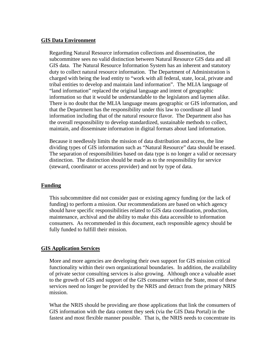#### **GIS Data Environment**

Regarding Natural Resource information collections and dissemination, the subcommittee sees no valid distinction between Natural Resource GIS data and all GIS data. The Natural Resource Information System has an inherent and statutory duty to collect natural resource information. The Department of Administration is charged with being the lead entity to "work with all federal, state, local, private and tribal entities to develop and maintain land information". The MLIA language of "land information" replaced the original language and intent of geographic information so that it would be understandable to the legislators and laymen alike. There is no doubt that the MLIA language means geographic or GIS information, and that the Department has the responsibility under this law to coordinate all land information including that of the natural resource flavor. The Department also has the overall responsibility to develop standardized, sustainable methods to collect, maintain, and disseminate information in digital formats about land information.

Because it needlessly limits the mission of data distribution and access, the line dividing types of GIS information such as "Natural Resource" data should be erased. The separation of responsibilities based on data type is no longer a valid or necessary distinction. The distinction should be made as to the responsibility for service (steward, coordinator or access provider) and not by type of data.

#### **Funding**

This subcommittee did not consider past or existing agency funding (or the lack of funding) to perform a mission. Our recommendations are based on which agency should have specific responsibilities related to GIS data coordination, production, maintenance, archival and the ability to make this data accessible to information consumers. As recommended in this document, each responsible agency should be fully funded to fulfill their mission.

#### **GIS Application Services**

More and more agencies are developing their own support for GIS mission critical functionality within their own organizational boundaries. In addition, the availability of private sector consulting services is also growing. Although once a valuable asset to the growth of GIS and support of the GIS consumer within the State, most of these services need no longer be provided by the NRIS and detract from the primary NRIS mission.

What the NRIS should be providing are those applications that link the consumers of GIS information with the data content they seek (via the GIS Data Portal) in the fastest and most flexible manner possible. That is, the NRIS needs to concentrate its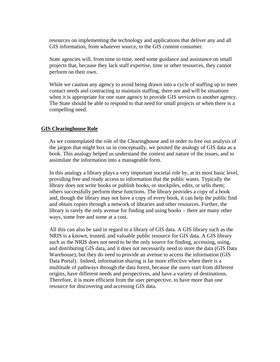resources on implementing the technology and applications that deliver any and all GIS information, from whatever source, to the GIS content consumer.

State agencies will, from time to time, need some guidance and assistance on small projects that, because they lack staff expertise, time or other resources, they cannot perform on their own.

While we caution any agency to avoid being drawn into a cycle of staffing up to meet contact needs and contracting to maintain staffing, there are and will be situations when it is appropriate for one state agency to provide GIS services to another agency. The State should be able to respond to that need for small projects or when there is a compelling need.

#### **GIS Clearinghouse Role**

As we contemplated the role of the Clearinghouse and in order to free our analysis of the jargon that might box us in conceptually, we posited the analogy of GIS data as a book. This analogy helped us understand the context and nature of the issues, and to assimilate the information into a manageable form.

In this analogy a library plays a very important societal role by, at its most basic level, providing free and ready access to information that the public wants. Typically the library does not write books or publish books, or stockpiles, edits, or sells them; others successfully perform these functions. The library provides a copy of a book and, though the library may not have a copy of every book, it can help the public find and obtain copies through a network of libraries and other resources. Further, the library is rarely the only avenue for finding and using books – there are many other ways, some free and some at a cost.

All this can also be said in regard to a library of GIS data. A GIS library such as the NRIS is a known, trusted, and valuable public resource for GIS data. A GIS library such as the NRIS does not need to be the only source for finding, accessing, using, and distributing GIS data, and it does not necessarily need to store the data (GIS Data Warehouse), but they do need to provide an avenue to access the information (GIS Data Portal). Indeed, information sharing is far more effective when there is a multitude of pathways through the data forest, because the users start from different origins, have different needs and perspectives, and have a variety of destinations. Therefore, it is more efficient from the user perspective, to have more than one resource for discovering and accessing GIS data.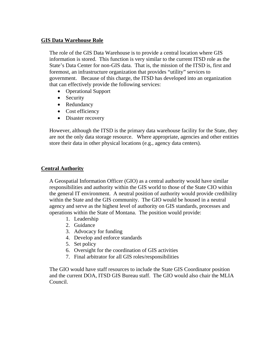#### **GIS Data Warehouse Role**

The role of the GIS Data Warehouse is to provide a central location where GIS information is stored. This function is very similar to the current ITSD role as the State's Data Center for non-GIS data. That is, the mission of the ITSD is, first and foremost, an infrastructure organization that provides "utility" services to government. Because of this charge, the ITSD has developed into an organization that can effectively provide the following services:

- Operational Support
- Security
- Redundancy
- Cost efficiency
- Disaster recovery

However, although the ITSD is the primary data warehouse facility for the State, they are not the only data storage resource. Where appropriate, agencies and other entities store their data in other physical locations (e.g., agency data centers).

#### **Central Authority**

A Geospatial Information Officer (GIO) as a central authority would have similar responsibilities and authority within the GIS world to those of the State CIO within the general IT environment. A neutral position of authority would provide credibility within the State and the GIS community. The GIO would be housed in a neutral agency and serve as the highest level of authority on GIS standards, processes and operations within the State of Montana. The position would provide:

- 1. Leadership
- 2. Guidance
- 3. Advocacy for funding
- 4. Develop and enforce standards
- 5. Set policy
- 6. Oversight for the coordination of GIS activities
- 7. Final arbitrator for all GIS roles/responsibilities

The GIO would have staff resources to include the State GIS Coordinator position and the current DOA, ITSD GIS Bureau staff. The GIO would also chair the MLIA Council.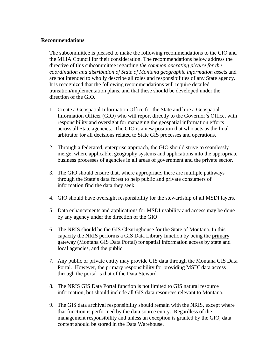#### **Recommendations**

The subcommittee is pleased to make the following recommendations to the CIO and the MLIA Council for their consideration. The recommendations below address the directive of this subcommittee regarding *the common operating picture for the coordination and distribution of State of Montana geographic information assets* and are not intended to wholly describe all roles and responsibilities of any State agency. It is recognized that the following recommendations will require detailed transition/implementation plans, and that these should be developed under the direction of the GIO.

- 1. Create a Geospatial Information Office for the State and hire a Geospatial Information Officer (GIO) who will report directly to the Governor's Office, with responsibility and oversight for managing the geospatial information efforts across all State agencies. The GIO is a new position that who acts as the final arbitrator for all decisions related to State GIS processes and operations.
- 2. Through a federated, enterprise approach, the GIO should strive to seamlessly merge, where applicable, geography systems and applications into the appropriate business processes of agencies in all areas of government and the private sector.
- 3. The GIO should ensure that, where appropriate, there are multiple pathways through the State's data forest to help public and private consumers of information find the data they seek.
- 4. GIO should have oversight responsibility for the stewardship of all MSDI layers.
- 5. Data enhancements and applications for MSDI usability and access may be done by any agency under the direction of the GIO
- 6. The NRIS should be the GIS Clearinghouse for the State of Montana. In this capacity the NRIS performs a GIS Data Library function by being the primary gateway (Montana GIS Data Portal) for spatial information access by state and local agencies, and the public.
- 7. Any public or private entity may provide GIS data through the Montana GIS Data Portal. However, the primary responsibility for providing MSDI data access through the portal is that of the Data Steward.
- 8. The NRIS GIS Data Portal function is not limited to GIS natural resource information, but should include all GIS data resources relevant to Montana.
- 9. The GIS data archival responsibility should remain with the NRIS, except where that function is performed by the data source entity. Regardless of the management responsibility and unless an exception is granted by the GIO, data content should be stored in the Data Warehouse.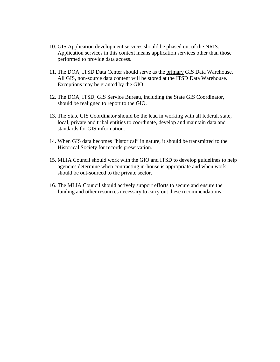- 10. GIS Application development services should be phased out of the NRIS. Application services in this context means application services other than those performed to provide data access.
- 11. The DOA, ITSD Data Center should serve as the primary GIS Data Warehouse. All GIS, non-source data content will be stored at the ITSD Data Warehouse. Exceptions may be granted by the GIO.
- 12. The DOA, ITSD, GIS Service Bureau, including the State GIS Coordinator, should be realigned to report to the GIO.
- 13. The State GIS Coordinator should be the lead in working with all federal, state, local, private and tribal entities to coordinate, develop and maintain data and standards for GIS information.
- 14. When GIS data becomes "historical" in nature, it should be transmitted to the Historical Society for records preservation.
- 15. MLIA Council should work with the GIO and ITSD to develop guidelines to help agencies determine when contracting in-house is appropriate and when work should be out-sourced to the private sector.
- 16. The MLIA Council should actively support efforts to secure and ensure the funding and other resources necessary to carry out these recommendations.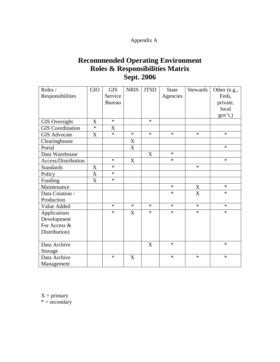### Appendix A

## **Recommended Operating Environment Roles & Responsibilities Matrix Sept. 2006**

| Roles /                 | <b>GIO</b> | <b>GIS</b>    | <b>NRIS</b> | <b>ITSD</b> | <b>State</b> | <b>Stewards</b> | Other (e.g., |
|-------------------------|------------|---------------|-------------|-------------|--------------|-----------------|--------------|
| Responsibilities        |            | Service       |             |             | Agencies     |                 | Feds,        |
|                         |            | <b>Bureau</b> |             |             |              |                 | private,     |
|                         |            |               |             |             |              |                 | local        |
|                         |            |               |             |             |              |                 | gov't.)      |
| <b>GIS</b> Oversight    | X          | $\ast$        |             | $\ast$      |              |                 |              |
| <b>GIS</b> Coordination | $\ast$     | X             |             |             |              |                 |              |
| <b>GIS Advocate</b>     | X          | $\ast$        | $\ast$      | $\ast$      | $\ast$       | $\ast$          | $\ast$       |
| Clearinghouse           |            |               | X           |             |              |                 |              |
| Portal                  |            |               | X           |             |              |                 | $\ast$       |
| Data Warehouse          |            |               |             | X           | $\ast$       |                 |              |
| Access/Distribution     |            | $\ast$        | X           |             | $\ast$       |                 | $\ast$       |
| <b>Standards</b>        | X          | $\ast$        |             |             |              | $\ast$          |              |
| Policy                  | X          | $\ast$        |             |             |              |                 |              |
| Funding                 | X          | $\ast$        |             |             |              |                 |              |
| Maintenance             |            |               |             |             | $\ast$       | X               | $\ast$       |
| Data Creation /         |            |               |             |             | $\ast$       | X               | $\ast$       |
| Production              |            |               |             |             |              |                 |              |
| Value Added             |            | $\ast$        | $\ast$      | $\ast$      | $\ast$       | $\ast$          | $\ast$       |
| Applications            |            | $\ast$        | X           | $\ast$      | $\ast$       | $\ast$          | *            |
| Development             |            |               |             |             |              |                 |              |
| For Access &            |            |               |             |             |              |                 |              |
| Distribution)           |            |               |             |             |              |                 |              |
|                         |            |               |             |             |              |                 |              |
| Data Archive            |            |               |             | X           | $\ast$       |                 | $\ast$       |
| Storage                 |            |               |             |             |              |                 |              |
| Data Archive            |            | $\ast$        | X           |             | $\ast$       | $\ast$          | $\ast$       |
| Management              |            |               |             |             |              |                 |              |

 $X = primary$ 

 $* = \frac{1}{3}$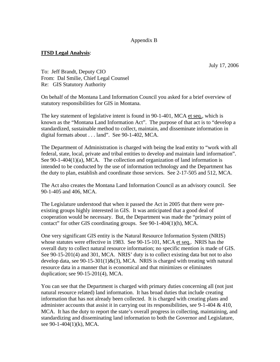#### Appendix B

#### **ITSD Legal Analysis**:

July 17, 2006

To: Jeff Brandt, Deputy CIO From: Dal Smilie, Chief Legal Counsel Re: GIS Statutory Authority

On behalf of the Montana Land Information Council you asked for a brief overview of statutory responsibilities for GIS in Montana.

The key statement of legislative intent is found in 90-1-401, MCA et seq., which is known as the "Montana Land Information Act". The purpose of that act is to "develop a standardized, sustainable method to collect, maintain, and disseminate information in digital formats about . . . land". See 90-1-402, MCA.

The Department of Administration is charged with being the lead entity to "work with all federal, state, local, private and tribal entities to develop and maintain land information". See 90-1-404(1)(a), MCA. The collection and organization of land information is intended to be conducted by the use of information technology and the Department has the duty to plan, establish and coordinate those services. See 2-17-505 and 512, MCA.

The Act also creates the Montana Land Information Council as an advisory council. See 90-1-405 and 406, MCA.

The Legislature understood that when it passed the Act in 2005 that there were preexisting groups highly interested in GIS. It was anticipated that a good deal of cooperation would be necessary. But, the Department was made the "primary point of contact" for other GIS coordinating groups. See 90-1-404(1)(h), MCA.

One very significant GIS entity is the Natural Resource Information System (NRIS) whose statutes were effective in 1983. See 90-15-101, MCA et seq.. NRIS has the overall duty to collect natural resource information; no specific mention is made of GIS. See 90-15-201(4) and 301, MCA. NRIS' duty is to collect existing data but not to also develop data, see  $90-15-301(1)$ &(3), MCA. NRIS is charged with treating with natural resource data in a manner that is economical and that minimizes or eliminates duplication; see 90-15-201(4), MCA.

You can see that the Department is charged with primary duties concerning all (not just natural resource related) land information. It has broad duties that include creating information that has not already been collected. It is charged with creating plans and administer accounts that assist it in carrying out its responsibilities, see 9-1-404 & 410, MCA. It has the duty to report the state's overall progress in collecting, maintaining, and standardizing and disseminating land information to both the Governor and Legislature, see 90-1-404(1)(k), MCA.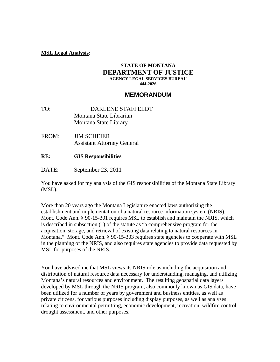#### **MSL Legal Analysis**:

#### **STATE OF MONTANA DEPARTMENT OF JUSTICE AGENCY LEGAL SERVICES BUREAU 444-2026**

#### **MEMORANDUM**

- TO: DARLENE STAFFELDT Montana State Librarian Montana State Library
- FROM: JIM SCHEIER Assistant Attorney General
- **RE: GIS Responsibilities**
- DATE: September 23, 2011

You have asked for my analysis of the GIS responsibilities of the Montana State Library (MSL).

More than 20 years ago the Montana Legislature enacted laws authorizing the establishment and implementation of a natural resource information system (NRIS). Mont. Code Ann. § 90-15-301 requires MSL to establish and maintain the NRIS, which is described in subsection (1) of the statute as "a comprehensive program for the acquisition, storage, and retrieval of existing data relating to natural resources in Montana." Mont. Code Ann. § 90-15-303 requires state agencies to cooperate with MSL in the planning of the NRIS, and also requires state agencies to provide data requested by MSL for purposes of the NRIS.

You have advised me that MSL views its NRIS role as including the acquisition and distribution of natural resource data necessary for understanding, managing, and utilizing Montana's natural resources and environment. The resulting geospatial data layers developed by MSL through the NRIS program, also commonly known as GIS data, have been utilized for a number of years by government and business entities, as well as private citizens, for various purposes including display purposes, as well as analyses relating to environmental permitting, economic development, recreation, wildfire control, drought assessment, and other purposes.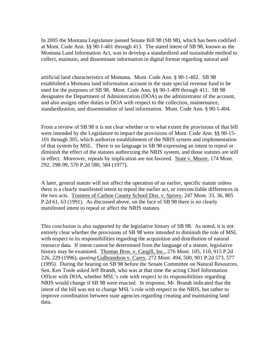In 2005 the Montana Legislature passed Senate Bill 98 (SB 98), which has been codified at Mont. Code Ann. §§ 90-1-401 through 413. The stated intent of SB 98, known as the Montana Land Information Act, was to develop a standardized and sustainable method to collect, maintain, and disseminate information in digital format regarding natural and

artificial land characteristics of Montana. Mont. Code Ann. § 90-1-402. SB 98 established a Montana land information account in the state special revenue fund to be used for the purposes of SB 98. Mont. Code Ann. §§ 90-1-409 through 411. SB 98 designates the Department of Administration (DOA) as the administrator of the account, and also assigns other duties to DOA with respect to the collection, maintenance, standardization, and dissemination of land information. Mont. Code Ann. § 90-1-404.

From a review of SB 98 it is not clear whether or to what extent the provisions of that bill were intended by the Legislature to impact the provisions of Mont. Code Ann. §§ 90-15- 101 through 305, which authorize establishment of the NRIS system and implementation of that system by MSL. There is no language in SB 98 expressing an intent to repeal or diminish the effect of the statutes authorizing the NRIS system, and those statutes are still in effect. Moreover, repeals by implication are not favored. State v. Moore, 174 Mont. 292, 298-99, 570 P.2d 580, 584 (1977).

A later, general statute will not affect the operation of an earlier, specific statute unless there is a clearly manifested intent to repeal the earlier act, or irreconcilable differences in the two acts. Trustees of Carbon County School Dist. v. Spivey, 247 Mont. 33, 36, 805 P.2d 61, 63 (1991). As discussed above, on the face of SB 98 there is no clearly manifested intent to repeal or affect the NRIS statutes.

This conclusion is also supported by the legislative history of SB 98. As noted, it is not entirely clear whether the provisions of SB 98 were intended to diminish the role of MSL with respect to its responsibilities regarding the acquisition and distribution of natural resource data. If intent cannot be determined from the language of a statute, legislative history may be examined. Thomas Bros. v. Cargill, Inc., 276 Mont. 105, 110, 915 P.2d 226, 229 (1996), *quoting* Gulbrandson v. Carey, 272 Mont. 494, 500, 901 P.2d 573, 577 (1995). During the hearing on SB 98 before the Senate Committee on Natural Resources, Sen. Ken Toole asked Jeff Brandt, who was at that time the acting Chief Information Officer with DOA, whether MSL's role with respect to its responsibilities regarding NRIS would change if SB 98 were enacted. In response, Mr. Brandt indicated that the intent of the bill was not to change MSL's role with respect to the NRIS, but rather to improve coordination between state agencies regarding creating and maintaining land data.